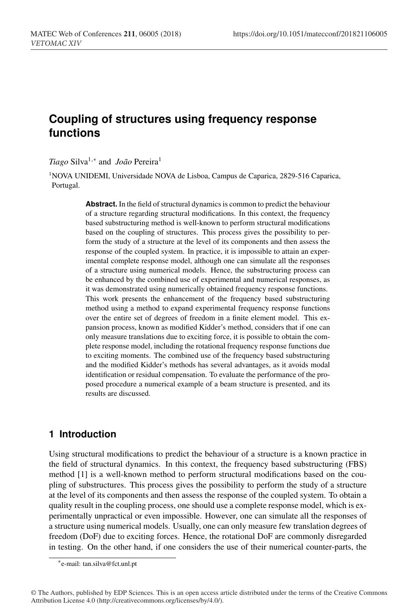# **Coupling of structures using frequency response functions**

*Tiago* Silva<sup>1,∗</sup> and *João* Pereira<sup>1</sup>

<sup>1</sup>NOVA UNIDEMI, Universidade NOVA de Lisboa, Campus de Caparica, 2829-516 Caparica, Portugal.

> **Abstract.** In the field of structural dynamics is common to predict the behaviour of a structure regarding structural modifications. In this context, the frequency based substructuring method is well-known to perform structural modifications based on the coupling of structures. This process gives the possibility to perform the study of a structure at the level of its components and then assess the response of the coupled system. In practice, it is impossible to attain an experimental complete response model, although one can simulate all the responses of a structure using numerical models. Hence, the substructuring process can be enhanced by the combined use of experimental and numerical responses, as it was demonstrated using numerically obtained frequency response functions. This work presents the enhancement of the frequency based substructuring method using a method to expand experimental frequency response functions over the entire set of degrees of freedom in a finite element model. This expansion process, known as modified Kidder's method, considers that if one can only measure translations due to exciting force, it is possible to obtain the complete response model, including the rotational frequency response functions due to exciting moments. The combined use of the frequency based substructuring and the modified Kidder's methods has several advantages, as it avoids modal identification or residual compensation. To evaluate the performance of the proposed procedure a numerical example of a beam structure is presented, and its results are discussed.

## **1 Introduction**

Using structural modifications to predict the behaviour of a structure is a known practice in the field of structural dynamics. In this context, the frequency based substructuring (FBS) method [1] is a well-known method to perform structural modifications based on the coupling of substructures. This process gives the possibility to perform the study of a structure at the level of its components and then assess the response of the coupled system. To obtain a quality result in the coupling process, one should use a complete response model, which is experimentally unpractical or even impossible. However, one can simulate all the responses of a structure using numerical models. Usually, one can only measure few translation degrees of freedom (DoF) due to exciting forces. Hence, the rotational DoF are commonly disregarded in testing. On the other hand, if one considers the use of their numerical counter-parts, the

<sup>∗</sup>e-mail: tan.silva@fct.unl.pt

<sup>©</sup> The Authors, published by EDP Sciences. This is an open access article distributed under the terms of the Creative Commons Attribution License 4.0 (http://creativecommons.org/licenses/by/4.0/).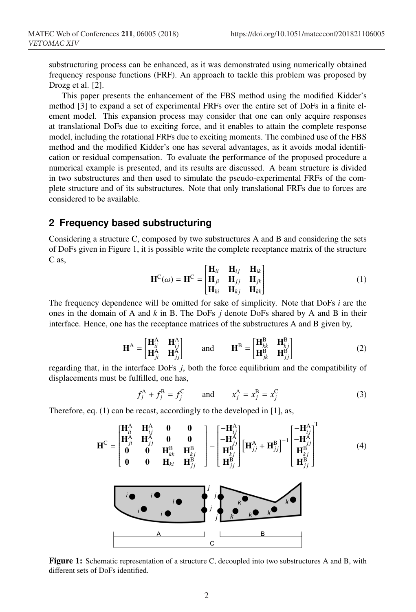substructuring process can be enhanced, as it was demonstrated using numerically obtained frequency response functions (FRF). An approach to tackle this problem was proposed by Drozg et al. [2].

This paper presents the enhancement of the FBS method using the modified Kidder's method [3] to expand a set of experimental FRFs over the entire set of DoFs in a finite element model. This expansion process may consider that one can only acquire responses at translational DoFs due to exciting force, and it enables to attain the complete response model, including the rotational FRFs due to exciting moments. The combined use of the FBS method and the modified Kidder's one has several advantages, as it avoids modal identification or residual compensation. To evaluate the performance of the proposed procedure a numerical example is presented, and its results are discussed. A beam structure is divided in two substructures and then used to simulate the pseudo-experimental FRFs of the complete structure and of its substructures. Note that only translational FRFs due to forces are considered to be available.

#### **2 Frequency based substructuring**

Considering a structure C, composed by two substructures A and B and considering the sets of DoFs given in Figure 1, it is possible write the complete receptance matrix of the structure C as,

$$
\mathbf{H}^{\mathbf{C}}(\omega) = \mathbf{H}^{\mathbf{C}} = \begin{bmatrix} \mathbf{H}_{ii} & \mathbf{H}_{ij} & \mathbf{H}_{ik} \\ \mathbf{H}_{ji} & \mathbf{H}_{jj} & \mathbf{H}_{jk} \\ \mathbf{H}_{ki} & \mathbf{H}_{kj} & \mathbf{H}_{kk} \end{bmatrix}
$$
(1)

The frequency dependence will be omitted for sake of simplicity. Note that DoFs *i* are the ones in the domain of A and *k* in B. The DoFs *j* denote DoFs shared by A and B in their interface. Hence, one has the receptance matrices of the substructures A and B given by,

$$
\mathbf{H}^{\mathbf{A}} = \begin{bmatrix} \mathbf{H}_{ii}^{\mathbf{A}} & \mathbf{H}_{ij}^{\mathbf{A}} \\ \mathbf{H}_{ji}^{\mathbf{A}} & \mathbf{H}_{jj}^{\mathbf{A}} \end{bmatrix} \quad \text{and} \quad \mathbf{H}^{\mathbf{B}} = \begin{bmatrix} \mathbf{H}_{kk}^{\mathbf{B}} & \mathbf{H}_{kj}^{\mathbf{B}} \\ \mathbf{H}_{jk}^{\mathbf{B}} & \mathbf{H}_{jj}^{\mathbf{B}} \end{bmatrix} \tag{2}
$$

regarding that, in the interface DoFs *j*, both the force equilibrium and the compatibility of displacements must be fulfilled, one has,

$$
f_j^A + f_j^B = f_j^C
$$
 and  $x_j^A = x_j^B = x_j^C$  (3)

Therefore, eq. (1) can be recast, accordingly to the developed in [1], as,



Figure 1: Schematic representation of a structure C, decoupled into two substructures A and B, with different sets of DoFs identified.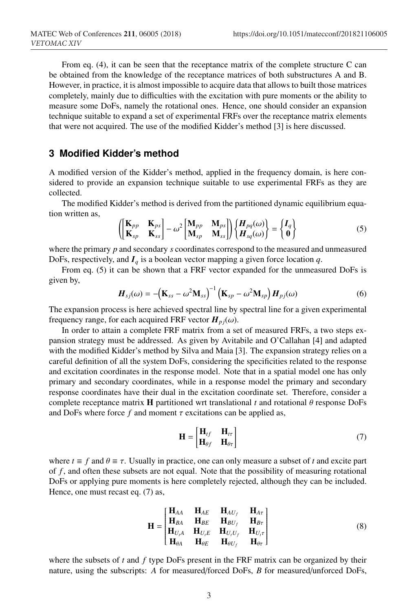From eq. (4), it can be seen that the receptance matrix of the complete structure C can be obtained from the knowledge of the receptance matrices of both substructures A and B. However, in practice, it is almost impossible to acquire data that allows to built those matrices completely, mainly due to difficulties with the excitation with pure moments or the ability to measure some DoFs, namely the rotational ones. Hence, one should consider an expansion technique suitable to expand a set of experimental FRFs over the receptance matrix elements that were not acquired. The use of the modified Kidder's method [3] is here discussed.

### **3 Modified Kidder's method**

A modified version of the Kidder's method, applied in the frequency domain, is here considered to provide an expansion technique suitable to use experimental FRFs as they are collected.

The modified Kidder's method is derived from the partitioned dynamic equilibrium equation written as,

$$
\left(\begin{bmatrix} \mathbf{K}_{pp} & \mathbf{K}_{ps} \\ \mathbf{K}_{sp} & \mathbf{K}_{ss} \end{bmatrix} - \omega^2 \begin{bmatrix} \mathbf{M}_{pp} & \mathbf{M}_{ps} \\ \mathbf{M}_{sp} & \mathbf{M}_{ss} \end{bmatrix} \right) \left\{ \begin{bmatrix} \boldsymbol{H}_{pq}(\omega) \\ \boldsymbol{H}_{sq}(\omega) \end{bmatrix} = \begin{Bmatrix} \boldsymbol{I}_q \\ \boldsymbol{0} \end{Bmatrix} \right\}
$$
(5)

where the primary *p* and secondary *s* coordinates correspond to the measured and unmeasured DoFs, respectively, and *I<sup>q</sup>* is a boolean vector mapping a given force location *q*.

From eq. (5) it can be shown that a FRF vector expanded for the unmeasured DoFs is given by,

$$
\boldsymbol{H}_{sj}(\omega) = -(\mathbf{K}_{ss} - \omega^2 \mathbf{M}_{ss})^{-1} (\mathbf{K}_{sp} - \omega^2 \mathbf{M}_{sp}) \boldsymbol{H}_{pj}(\omega)
$$
(6)

The expansion process is here achieved spectral line by spectral line for a given experimental frequency range, for each acquired FRF vector  $H_{pj}(\omega)$ .

In order to attain a complete FRF matrix from a set of measured FRFs, a two steps expansion strategy must be addressed. As given by Avitabile and O'Callahan [4] and adapted with the modified Kidder's method by Silva and Maia [3]. The expansion strategy relies on a careful definition of all the system DoFs, considering the specificities related to the response and excitation coordinates in the response model. Note that in a spatial model one has only primary and secondary coordinates, while in a response model the primary and secondary response coordinates have their dual in the excitation coordinate set. Therefore, consider a complete receptance matrix **H** partitioned wrt translational  $t$  and rotational  $\theta$  response DoFs and DoFs where force  $f$  and moment  $\tau$  excitations can be applied as,

$$
\mathbf{H} = \begin{bmatrix} \mathbf{H}_{tf} & \mathbf{H}_{tr} \\ \mathbf{H}_{\theta f} & \mathbf{H}_{\theta \tau} \end{bmatrix}
$$
 (7)

where  $t \equiv f$  and  $\theta \equiv \tau$ . Usually in practice, one can only measure a subset of t and excite part of *f*, and often these subsets are not equal. Note that the possibility of measuring rotational DoFs or applying pure moments is here completely rejected, although they can be included. Hence, one must recast eq. (7) as,

$$
\mathbf{H} = \begin{bmatrix} \mathbf{H}_{AA} & \mathbf{H}_{AE} & \mathbf{H}_{AU_f} & \mathbf{H}_{A\tau} \\ \mathbf{H}_{BA} & \mathbf{H}_{BE} & \mathbf{H}_{BU_f} & \mathbf{H}_{Br} \\ \mathbf{H}_{U_t A} & \mathbf{H}_{U_t E} & \mathbf{H}_{U_t U_f} & \mathbf{H}_{U_t \tau} \\ \mathbf{H}_{\theta A} & \mathbf{H}_{\theta E} & \mathbf{H}_{\theta U_f} & \mathbf{H}_{\theta \tau} \end{bmatrix}
$$
(8)

where the subsets of *t* and *f* type DoFs present in the FRF matrix can be organized by their nature, using the subscripts: *A* for measured/forced DoFs, *B* for measured/unforced DoFs,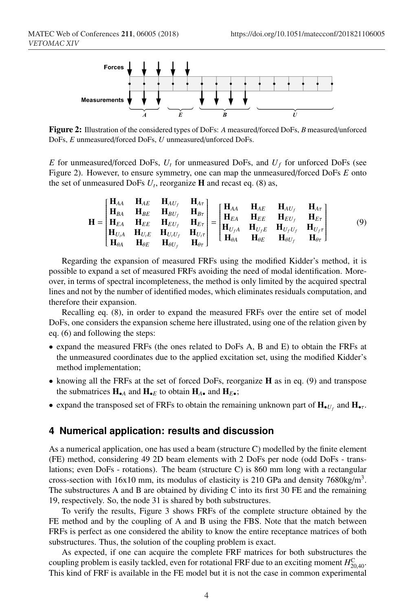

Figure 2: Illustration of the considered types of DoFs: *A* measured/forced DoFs, *B* measured/unforced DoFs, *E* unmeasured/forced DoFs, *U* unmeasured/unforced DoFs.

*E* for unmeasured/forced DoFs,  $U_t$  for unmeasured DoFs, and  $U_f$  for unforced DoFs (see Figure 2). However, to ensure symmetry, one can map the unmeasured/forced DoFs *E* onto the set of unmeasured DoFs  $U_t$ , reorganize **H** and recast eq. (8) as,

$$
\mathbf{H} = \begin{bmatrix} \mathbf{H}_{AA} & \mathbf{H}_{AE} & \mathbf{H}_{AU_f} & \mathbf{H}_{A\tau} \\ \mathbf{H}_{BA} & \mathbf{H}_{BE} & \mathbf{H}_{BU_f} & \mathbf{H}_{B\tau} \\ \mathbf{H}_{EA} & \mathbf{H}_{EE} & \mathbf{H}_{EU_f} & \mathbf{H}_{E\tau} \\ \mathbf{H}_{U_{iA}} & \mathbf{H}_{U_{iE}} & \mathbf{H}_{U_{i}U_f} & \mathbf{H}_{U_{i}\tau} \\ \mathbf{H}_{\theta A} & \mathbf{H}_{\theta E} & \mathbf{H}_{\theta U_f} & \mathbf{H}_{\theta\tau} \end{bmatrix} = \begin{bmatrix} \mathbf{H}_{AA} & \mathbf{H}_{AE} & \mathbf{H}_{AU_f} & \mathbf{H}_{A\tau} \\ \mathbf{H}_{EA} & \mathbf{H}_{EE} & \mathbf{H}_{EU_f} & \mathbf{H}_{E\tau} \\ \mathbf{H}_{U_fA} & \mathbf{H}_{U_fE} & \mathbf{H}_{U_fU_f} & \mathbf{H}_{U_f\tau} \\ \mathbf{H}_{\theta A} & \mathbf{H}_{\theta E} & \mathbf{H}_{\theta U_f} & \mathbf{H}_{\theta\tau} \end{bmatrix}
$$
(9)

Regarding the expansion of measured FRFs using the modified Kidder's method, it is possible to expand a set of measured FRFs avoiding the need of modal identification. Moreover, in terms of spectral incompleteness, the method is only limited by the acquired spectral lines and not by the number of identified modes, which eliminates residuals computation, and therefore their expansion.

Recalling eq. (8), in order to expand the measured FRFs over the entire set of model DoFs, one considers the expansion scheme here illustrated, using one of the relation given by eq. (6) and following the steps:

- expand the measured FRFs (the ones related to DoFs A, B and E) to obtain the FRFs at the unmeasured coordinates due to the applied excitation set, using the modified Kidder's method implementation;
- knowing all the FRFs at the set of forced DoFs, reorganize H as in eq. (9) and transpose the submatrices  $H_{\bullet A}$  and  $H_{\bullet E}$  to obtain  $H_{A\bullet}$  and  $H_{E\bullet}$ ;
- expand the transposed set of FRFs to obtain the remaining unknown part of  $H_{\bullet U_f}$  and  $H_{\bullet \tau}$ .

### **4 Numerical application: results and discussion**

As a numerical application, one has used a beam (structure C) modelled by the finite element (FE) method, considering 49 2D beam elements with 2 DoFs per node (odd DoFs - translations; even DoFs - rotations). The beam (structure C) is 860 mm long with a rectangular cross-section with 16x10 mm, its modulus of elasticity is 210 GPa and density  $7680 \text{kg/m}^3$ . The substructures A and B are obtained by dividing C into its first 30 FE and the remaining 19, respectively. So, the node 31 is shared by both substructures.

To verify the results, Figure 3 shows FRFs of the complete structure obtained by the FE method and by the coupling of A and B using the FBS. Note that the match between FRFs is perfect as one considered the ability to know the entire receptance matrices of both substructures. Thus, the solution of the coupling problem is exact.

As expected, if one can acquire the complete FRF matrices for both substructures the coupling problem is easily tackled, even for rotational FRF due to an exciting moment  $H_{20,40}^C$ . This kind of FRF is available in the FE model but it is not the case in common experimental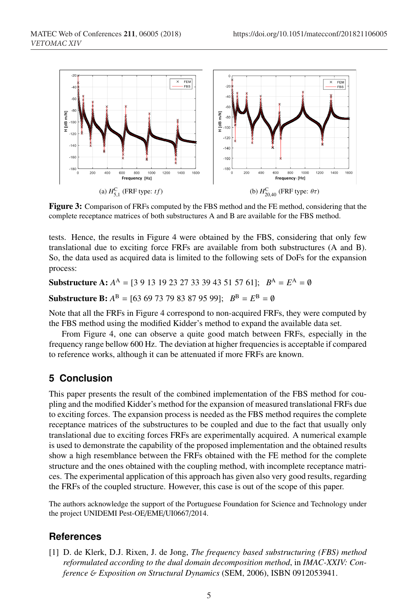

Figure 3: Comparison of FRFs computed by the FBS method and the FE method, considering that the complete receptance matrices of both substructures A and B are available for the FBS method.

tests. Hence, the results in Figure 4 were obtained by the FBS, considering that only few translational due to exciting force FRFs are available from both substructures (A and B). So, the data used as acquired data is limited to the following sets of DoFs for the expansion process:

**Substructure A:**  $A^A = [3 \ 9 \ 13 \ 19 \ 23 \ 27 \ 33 \ 39 \ 43 \ 51 \ 57 \ 61];$   $B^A = E^A = \emptyset$ 

**Substructure B:**  $A^B = [63 69 73 79 83 87 95 99]$ ;  $B^B = E^B = \emptyset$ 

Note that all the FRFs in Figure 4 correspond to non-acquired FRFs, they were computed by the FBS method using the modified Kidder's method to expand the available data set.

From Figure 4, one can observe a quite good match between FRFs, especially in the frequency range bellow 600 Hz. The deviation at higher frequencies is acceptable if compared to reference works, although it can be attenuated if more FRFs are known.

## **5 Conclusion**

This paper presents the result of the combined implementation of the FBS method for coupling and the modified Kidder's method for the expansion of measured translational FRFs due to exciting forces. The expansion process is needed as the FBS method requires the complete receptance matrices of the substructures to be coupled and due to the fact that usually only translational due to exciting forces FRFs are experimentally acquired. A numerical example is used to demonstrate the capability of the proposed implementation and the obtained results show a high resemblance between the FRFs obtained with the FE method for the complete structure and the ones obtained with the coupling method, with incomplete receptance matrices. The experimental application of this approach has given also very good results, regarding the FRFs of the coupled structure. However, this case is out of the scope of this paper.

The authors acknowledge the support of the Portuguese Foundation for Science and Technology under the project UNIDEMI Pest-OE/EME/UI0667/2014.

## **References**

[1] D. de Klerk, D.J. Rixen, J. de Jong, *The frequency based substructuring (FBS) method reformulated according to the dual domain decomposition method*, in *IMAC-XXIV: Conference* & *Exposition on Structural Dynamics* (SEM, 2006), ISBN 0912053941.